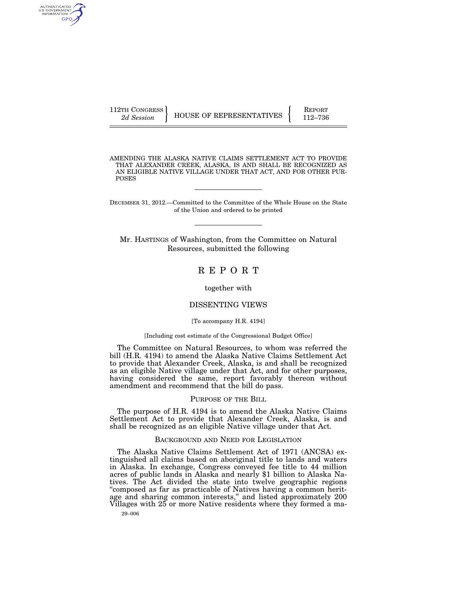AUTHENTICATED<br>U.S. GOVERNMENT<br>INFORMATION GPO

112TH CONGRESS HOUSE OF REPRESENTATIVES **REPORT** 112–736

AMENDING THE ALASKA NATIVE CLAIMS SETTLEMENT ACT TO PROVIDE THAT ALEXANDER CREEK, ALASKA, IS AND SHALL BE RECOGNIZED AS AN ELIGIBLE NATIVE VILLAGE UNDER THAT ACT, AND FOR OTHER PUR-POSES

DECEMBER 31, 2012.—Committed to the Committee of the Whole House on the State of the Union and ordered to be printed

Mr. HASTINGS of Washington, from the Committee on Natural Resources, submitted the following

R E P O R T

together with

## DISSENTING VIEWS

### [To accompany H.R. 4194]

### [Including cost estimate of the Congressional Budget Office]

The Committee on Natural Resources, to whom was referred the bill (H.R. 4194) to amend the Alaska Native Claims Settlement Act to provide that Alexander Creek, Alaska, is and shall be recognized as an eligible Native village under that Act, and for other purposes, having considered the same, report favorably thereon without amendment and recommend that the bill do pass.

### PURPOSE OF THE BILL

The purpose of H.R. 4194 is to amend the Alaska Native Claims Settlement Act to provide that Alexander Creek, Alaska, is and shall be recognized as an eligible Native village under that Act.

# BACKGROUND AND NEED FOR LEGISLATION

The Alaska Native Claims Settlement Act of 1971 (ANCSA) extinguished all claims based on aboriginal title to lands and waters in Alaska. In exchange, Congress conveyed fee title to 44 million acres of public lands in Alaska and nearly \$1 billion to Alaska Natives. The Act divided the state into twelve geographic regions ''composed as far as practicable of Natives having a common heritage and sharing common interests," and listed approximately 200 Villages with 25 or more Native residents where they formed a ma-

29–006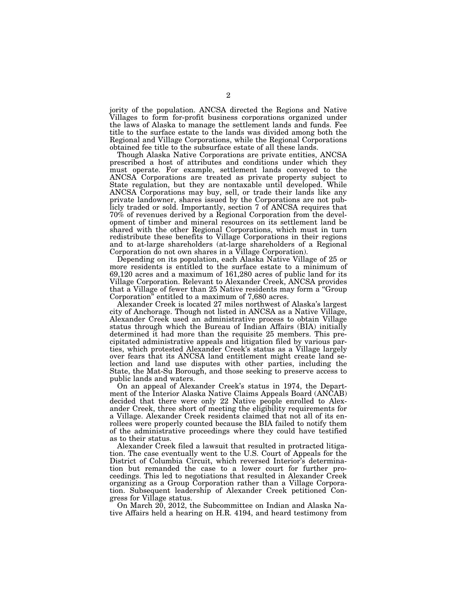jority of the population. ANCSA directed the Regions and Native Villages to form for-profit business corporations organized under the laws of Alaska to manage the settlement lands and funds. Fee title to the surface estate to the lands was divided among both the Regional and Village Corporations, while the Regional Corporations obtained fee title to the subsurface estate of all these lands.

Though Alaska Native Corporations are private entities, ANCSA prescribed a host of attributes and conditions under which they must operate. For example, settlement lands conveyed to the ANCSA Corporations are treated as private property subject to State regulation, but they are nontaxable until developed. While ANCSA Corporations may buy, sell, or trade their lands like any private landowner, shares issued by the Corporations are not publicly traded or sold. Importantly, section 7 of ANCSA requires that 70% of revenues derived by a Regional Corporation from the development of timber and mineral resources on its settlement land be shared with the other Regional Corporations, which must in turn redistribute these benefits to Village Corporations in their regions and to at-large shareholders (at-large shareholders of a Regional Corporation do not own shares in a Village Corporation).

Depending on its population, each Alaska Native Village of 25 or more residents is entitled to the surface estate to a minimum of 69,120 acres and a maximum of 161,280 acres of public land for its Village Corporation. Relevant to Alexander Creek, ANCSA provides that a Village of fewer than 25 Native residents may form a ''Group Corporation'' entitled to a maximum of 7,680 acres.

Alexander Creek is located 27 miles northwest of Alaska's largest city of Anchorage. Though not listed in ANCSA as a Native Village, Alexander Creek used an administrative process to obtain Village status through which the Bureau of Indian Affairs (BIA) initially determined it had more than the requisite 25 members. This precipitated administrative appeals and litigation filed by various parties, which protested Alexander Creek's status as a Village largely over fears that its ANCSA land entitlement might create land selection and land use disputes with other parties, including the State, the Mat-Su Borough, and those seeking to preserve access to public lands and waters.

On an appeal of Alexander Creek's status in 1974, the Department of the Interior Alaska Native Claims Appeals Board (ANCAB) decided that there were only 22 Native people enrolled to Alexander Creek, three short of meeting the eligibility requirements for a Village. Alexander Creek residents claimed that not all of its enrollees were properly counted because the BIA failed to notify them of the administrative proceedings where they could have testified as to their status.

Alexander Creek filed a lawsuit that resulted in protracted litigation. The case eventually went to the U.S. Court of Appeals for the District of Columbia Circuit, which reversed Interior's determination but remanded the case to a lower court for further proceedings. This led to negotiations that resulted in Alexander Creek organizing as a Group Corporation rather than a Village Corporation. Subsequent leadership of Alexander Creek petitioned Congress for Village status.

On March 20, 2012, the Subcommittee on Indian and Alaska Native Affairs held a hearing on H.R. 4194, and heard testimony from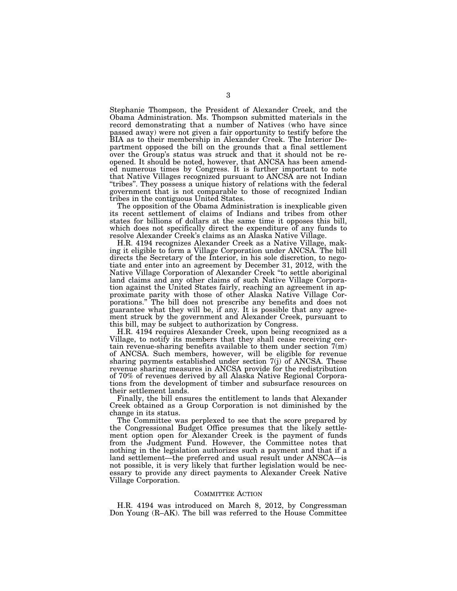Stephanie Thompson, the President of Alexander Creek, and the Obama Administration. Ms. Thompson submitted materials in the record demonstrating that a number of Natives (who have since passed away) were not given a fair opportunity to testify before the BIA as to their membership in Alexander Creek. The Interior Department opposed the bill on the grounds that a final settlement over the Group's status was struck and that it should not be reopened. It should be noted, however, that ANCSA has been amended numerous times by Congress. It is further important to note that Native Villages recognized pursuant to ANCSA are not Indian ''tribes''. They possess a unique history of relations with the federal government that is not comparable to those of recognized Indian tribes in the contiguous United States.

The opposition of the Obama Administration is inexplicable given its recent settlement of claims of Indians and tribes from other states for billions of dollars at the same time it opposes this bill, which does not specifically direct the expenditure of any funds to resolve Alexander Creek's claims as an Alaska Native Village.

H.R. 4194 recognizes Alexander Creek as a Native Village, making it eligible to form a Village Corporation under ANCSA. The bill directs the Secretary of the Interior, in his sole discretion, to negotiate and enter into an agreement by December 31, 2012, with the Native Village Corporation of Alexander Creek ''to settle aboriginal land claims and any other claims of such Native Village Corporation against the United States fairly, reaching an agreement in approximate parity with those of other Alaska Native Village Corporations.'' The bill does not prescribe any benefits and does not guarantee what they will be, if any. It is possible that any agreement struck by the government and Alexander Creek, pursuant to this bill, may be subject to authorization by Congress.

H.R. 4194 requires Alexander Creek, upon being recognized as a Village, to notify its members that they shall cease receiving certain revenue-sharing benefits available to them under section  $7(m)$ of ANCSA. Such members, however, will be eligible for revenue sharing payments established under section 7(j) of ANCSA. These revenue sharing measures in ANCSA provide for the redistribution of 70% of revenues derived by all Alaska Native Regional Corporations from the development of timber and subsurface resources on their settlement lands.

Finally, the bill ensures the entitlement to lands that Alexander Creek obtained as a Group Corporation is not diminished by the change in its status.

The Committee was perplexed to see that the score prepared by the Congressional Budget Office presumes that the likely settlement option open for Alexander Creek is the payment of funds from the Judgment Fund. However, the Committee notes that nothing in the legislation authorizes such a payment and that if a land settlement—the preferred and usual result under ANSCA—is not possible, it is very likely that further legislation would be necessary to provide any direct payments to Alexander Creek Native Village Corporation.

#### COMMITTEE ACTION

H.R. 4194 was introduced on March 8, 2012, by Congressman Don Young (R–AK). The bill was referred to the House Committee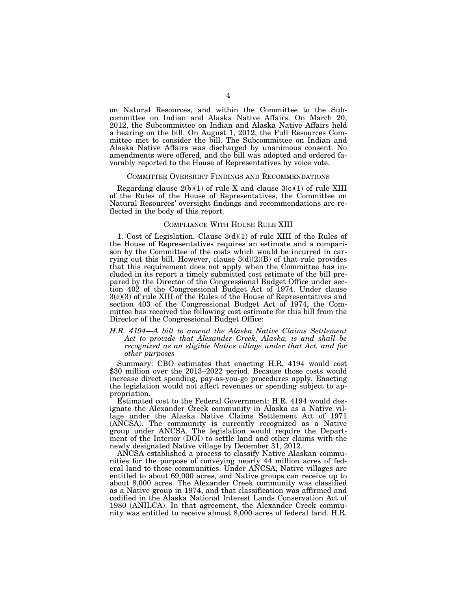on Natural Resources, and within the Committee to the Subcommittee on Indian and Alaska Native Affairs. On March 20, 2012, the Subcommittee on Indian and Alaska Native Affairs held a hearing on the bill. On August 1, 2012, the Full Resources Committee met to consider the bill. The Subcommittee on Indian and Alaska Native Affairs was discharged by unanimous consent. No amendments were offered, and the bill was adopted and ordered favorably reported to the House of Representatives by voice vote.

### COMMITTEE OVERSIGHT FINDINGS AND RECOMMENDATIONS

Regarding clause  $2(b)(1)$  of rule X and clause  $3(c)(1)$  of rule XIII of the Rules of the House of Representatives, the Committee on Natural Resources' oversight findings and recommendations are reflected in the body of this report.

### COMPLIANCE WITH HOUSE RULE XIII

1. Cost of Legislation. Clause 3(d)(1) of rule XIII of the Rules of the House of Representatives requires an estimate and a comparison by the Committee of the costs which would be incurred in carrying out this bill. However, clause  $3(d)(2)(B)$  of that rule provides that this requirement does not apply when the Committee has included in its report a timely submitted cost estimate of the bill prepared by the Director of the Congressional Budget Office under section 402 of the Congressional Budget Act of 1974. Under clause 3(c)(3) of rule XIII of the Rules of the House of Representatives and section 403 of the Congressional Budget Act of 1974, the Committee has received the following cost estimate for this bill from the Director of the Congressional Budget Office:

*H.R. 4194—A bill to amend the Alaska Native Claims Settlement Act to provide that Alexander Creek, Alaska, is and shall be recognized as an eligible Native village under that Act, and for other purposes* 

Summary: CBO estimates that enacting H.R. 4194 would cost \$30 million over the 2013–2022 period. Because those costs would increase direct spending, pay-as-you-go procedures apply. Enacting the legislation would not affect revenues or spending subject to appropriation.

Estimated cost to the Federal Government: H.R. 4194 would designate the Alexander Creek community in Alaska as a Native village under the Alaska Native Claims Settlement Act of 1971 (ANCSA). The community is currently recognized as a Native group under ANCSA. The legislation would require the Department of the Interior (DOI) to settle land and other claims with the newly designated Native village by December 31, 2012.

ANCSA established a process to classify Native Alaskan communities for the purpose of conveying nearly 44 million acres of federal land to those communities. Under ANCSA, Native villages are entitled to about 69,000 acres, and Native groups can receive up to about 8,000 acres. The Alexander Creek community was classified as a Native group in 1974, and that classification was affirmed and codified in the Alaska National Interest Lands Conservation Act of 1980 (ANILCA). In that agreement, the Alexander Creek community was entitled to receive almost 8,000 acres of federal land. H.R.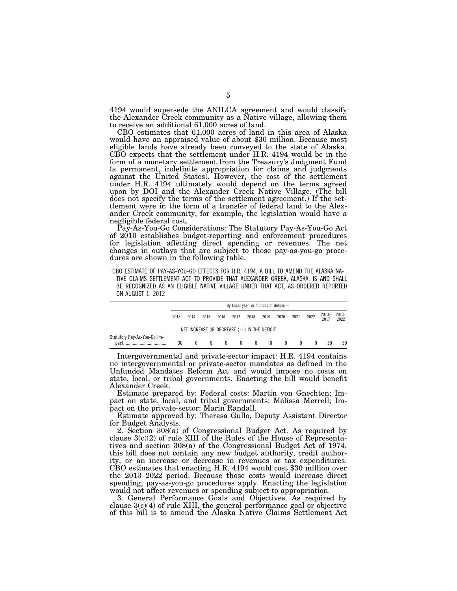4194 would supersede the ANILCA agreement and would classify the Alexander Creek community as a Native village, allowing them to receive an additional 61,000 acres of land.

CBO estimates that 61,000 acres of land in this area of Alaska would have an appraised value of about \$30 million. Because most eligible lands have already been conveyed to the state of Alaska, CBO expects that the settlement under H.R. 4194 would be in the form of a monetary settlement from the Treasury's Judgment Fund (a permanent, indefinite appropriation for claims and judgments against the United States). However, the cost of the settlement under H.R. 4194 ultimately would depend on the terms agreed upon by DOI and the Alexander Creek Native Village. (The bill does not specify the terms of the settlement agreement.) If the settlement were in the form of a transfer of federal land to the Alexander Creek community, for example, the legislation would have a negligible federal cost.

Pay-As-You-Go Considerations: The Statutory Pay-As-You-Go Act of 2010 establishes budget-reporting and enforcement procedures for legislation affecting direct spending or revenues. The net changes in outlays that are subject to those pay-as-you-go procedures are shown in the following table.

CBO ESTIMATE OF PAY-AS-YOU-GO EFFECTS FOR H.R. 4194, A BILL TO AMEND THE ALASKA NA-

TIVE CLAIMS SETTLEMENT ACT TO PROVIDE THAT ALEXANDER CREEK, ALASKA, IS AND SHALL BE RECOGNIZED AS AN ELIGIBLE NATIVE VILLAGE UNDER THAT ACT, AS ORDERED REPORTED ON AUGUST 1, 2012

|                                               | By fiscal year, in millions of dollars- |          |              |      |              |                              |                |          |                |      |                 |               |
|-----------------------------------------------|-----------------------------------------|----------|--------------|------|--------------|------------------------------|----------------|----------|----------------|------|-----------------|---------------|
|                                               | 2013                                    | 2014     | 2015         | 2016 | 2017         | 2018                         | 2019           | 2020     | 2021           | 2022 | $2013-$<br>2017 | 2013-<br>2022 |
| NET INCREASE OR DECREASE $(-)$ IN THE DEFICIT |                                         |          |              |      |              |                              |                |          |                |      |                 |               |
| Statutory Pay-As-You-Go Im-<br>pact           | 30                                      | $\left($ | $\mathbf{0}$ |      | $\mathbf{0}$ | $\mathbf{0}$<br>$\mathbf{0}$ | $\overline{0}$ | $\Omega$ | $\overline{0}$ |      | 30              | 30            |

Intergovernmental and private-sector impact: H.R. 4194 contains no intergovernmental or private-sector mandates as defined in the Unfunded Mandates Reform Act and would impose no costs on state, local, or tribal governments. Enacting the bill would benefit Alexander Creek.

Estimate prepared by: Federal costs: Martin von Gnechten; Impact on state, local, and tribal governments: Melissa Merrell; Impact on the private-sector: Marin Randall.

Estimate approved by: Theresa Gullo, Deputy Assistant Director for Budget Analysis.

2. Section 308(a) of Congressional Budget Act. As required by clause  $3(c)(2)$  of rule XIII of the Rules of the House of Representatives and section 308(a) of the Congressional Budget Act of 1974, this bill does not contain any new budget authority, credit authority, or an increase or decrease in revenues or tax expenditures. CBO estimates that enacting H.R. 4194 would cost \$30 million over the 2013–2022 period. Because those costs would increase direct spending, pay-as-you-go procedures apply. Enacting the legislation would not affect revenues or spending subject to appropriation.

3. General Performance Goals and Objectives. As required by clause  $3(c)(4)$  of rule XIII, the general performance goal or objective of this bill is to amend the Alaska Native Claims Settlement Act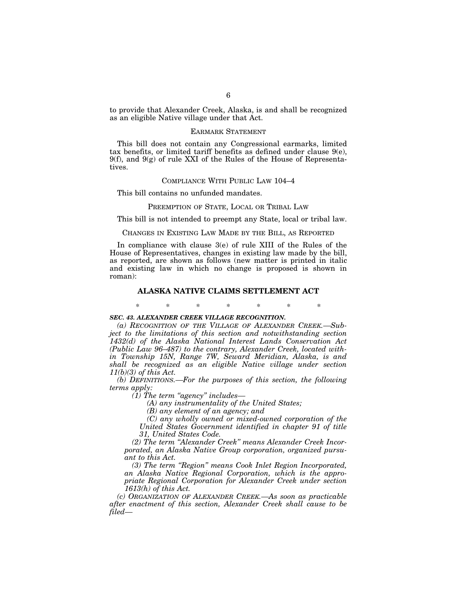to provide that Alexander Creek, Alaska, is and shall be recognized as an eligible Native village under that Act.

## EARMARK STATEMENT

This bill does not contain any Congressional earmarks, limited tax benefits, or limited tariff benefits as defined under clause 9(e),  $9(f)$ , and  $9(g)$  of rule XXI of the Rules of the House of Representatives.

## COMPLIANCE WITH PUBLIC LAW 104–4

This bill contains no unfunded mandates.

### PREEMPTION OF STATE, LOCAL OR TRIBAL LAW

This bill is not intended to preempt any State, local or tribal law.

# CHANGES IN EXISTING LAW MADE BY THE BILL, AS REPORTED

In compliance with clause 3(e) of rule XIII of the Rules of the House of Representatives, changes in existing law made by the bill, as reported, are shown as follows (new matter is printed in italic and existing law in which no change is proposed is shown in roman):

## **ALASKA NATIVE CLAIMS SETTLEMENT ACT**

\* \* \* \* \* \* \*

## *SEC. 43. ALEXANDER CREEK VILLAGE RECOGNITION.*

*(a) RECOGNITION OF THE VILLAGE OF ALEXANDER CREEK.—Subject to the limitations of this section and notwithstanding section 1432(d) of the Alaska National Interest Lands Conservation Act (Public Law 96–487) to the contrary, Alexander Creek, located within Township 15N, Range 7W, Seward Meridian, Alaska, is and shall be recognized as an eligible Native village under section 11(b)(3) of this Act.* 

*(b) DEFINITIONS.—For the purposes of this section, the following terms apply:* 

*(1) The term ''agency'' includes—* 

*(A) any instrumentality of the United States;* 

*(B) any element of an agency; and* 

*(C) any wholly owned or mixed-owned corporation of the United States Government identified in chapter 91 of title 31, United States Code.* 

*(2) The term ''Alexander Creek'' means Alexander Creek Incorporated, an Alaska Native Group corporation, organized pursuant to this Act.* 

*(3) The term ''Region'' means Cook Inlet Region Incorporated, an Alaska Native Regional Corporation, which is the appropriate Regional Corporation for Alexander Creek under section 1613(h) of this Act.* 

*(c) ORGANIZATION OF ALEXANDER CREEK.—As soon as practicable after enactment of this section, Alexander Creek shall cause to be filed—*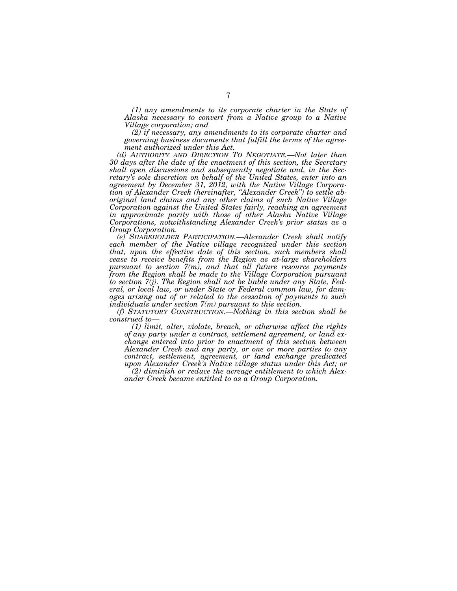*(1) any amendments to its corporate charter in the State of Alaska necessary to convert from a Native group to a Native Village corporation; and* 

*(2) if necessary, any amendments to its corporate charter and governing business documents that fulfill the terms of the agreement authorized under this Act.* 

*(d) AUTHORITY AND DIRECTION TO NEGOTIATE.—Not later than 30 days after the date of the enactment of this section, the Secretary shall open discussions and subsequently negotiate and, in the Secretary's sole discretion on behalf of the United States, enter into an agreement by December 31, 2012, with the Native Village Corporation of Alexander Creek (hereinafter, ''Alexander Creek'') to settle aboriginal land claims and any other claims of such Native Village Corporation against the United States fairly, reaching an agreement in approximate parity with those of other Alaska Native Village Corporations, notwithstanding Alexander Creek's prior status as a Group Corporation.* 

*(e) SHAREHOLDER PARTICIPATION.—Alexander Creek shall notify*  each member of the Native village recognized under this section *that, upon the effective date of this section, such members shall cease to receive benefits from the Region as at-large shareholders pursuant to section 7(m), and that all future resource payments from the Region shall be made to the Village Corporation pursuant to section 7(j). The Region shall not be liable under any State, Federal, or local law, or under State or Federal common law, for damages arising out of or related to the cessation of payments to such individuals under section 7(m) pursuant to this section.* 

*(f) STATUTORY CONSTRUCTION.—Nothing in this section shall be construed to—* 

*(1) limit, alter, violate, breach, or otherwise affect the rights of any party under a contract, settlement agreement, or land exchange entered into prior to enactment of this section between Alexander Creek and any party, or one or more parties to any contract, settlement, agreement, or land exchange predicated upon Alexander Creek's Native village status under this Act; or* 

*(2) diminish or reduce the acreage entitlement to which Alexander Creek became entitled to as a Group Corporation.*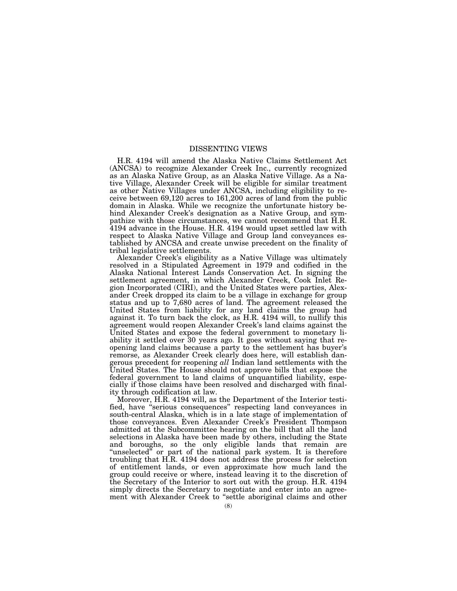# DISSENTING VIEWS

H.R. 4194 will amend the Alaska Native Claims Settlement Act (ANCSA) to recognize Alexander Creek Inc., currently recognized as an Alaska Native Group, as an Alaska Native Village. As a Native Village, Alexander Creek will be eligible for similar treatment as other Native Villages under ANCSA, including eligibility to receive between 69,120 acres to 161,200 acres of land from the public domain in Alaska. While we recognize the unfortunate history behind Alexander Creek's designation as a Native Group, and sympathize with those circumstances, we cannot recommend that H.R. 4194 advance in the House. H.R. 4194 would upset settled law with respect to Alaska Native Village and Group land conveyances established by ANCSA and create unwise precedent on the finality of tribal legislative settlements.

Alexander Creek's eligibility as a Native Village was ultimately resolved in a Stipulated Agreement in 1979 and codified in the Alaska National Interest Lands Conservation Act. In signing the settlement agreement, in which Alexander Creek, Cook Inlet Region Incorporated (CIRI), and the United States were parties, Alexander Creek dropped its claim to be a village in exchange for group status and up to 7,680 acres of land. The agreement released the United States from liability for any land claims the group had against it. To turn back the clock, as H.R. 4194 will, to nullify this agreement would reopen Alexander Creek's land claims against the United States and expose the federal government to monetary liability it settled over 30 years ago. It goes without saying that reopening land claims because a party to the settlement has buyer's remorse, as Alexander Creek clearly does here, will establish dangerous precedent for reopening *all* Indian land settlements with the United States. The House should not approve bills that expose the federal government to land claims of unquantified liability, especially if those claims have been resolved and discharged with finality through codification at law.

Moreover, H.R. 4194 will, as the Department of the Interior testified, have ''serious consequences'' respecting land conveyances in south-central Alaska, which is in a late stage of implementation of those conveyances. Even Alexander Creek's President Thompson admitted at the Subcommittee hearing on the bill that all the land selections in Alaska have been made by others, including the State and boroughs, so the only eligible lands that remain are ''unselected'' or part of the national park system. It is therefore troubling that H.R. 4194 does not address the process for selection of entitlement lands, or even approximate how much land the group could receive or where, instead leaving it to the discretion of the Secretary of the Interior to sort out with the group. H.R. 4194 simply directs the Secretary to negotiate and enter into an agreement with Alexander Creek to ''settle aboriginal claims and other